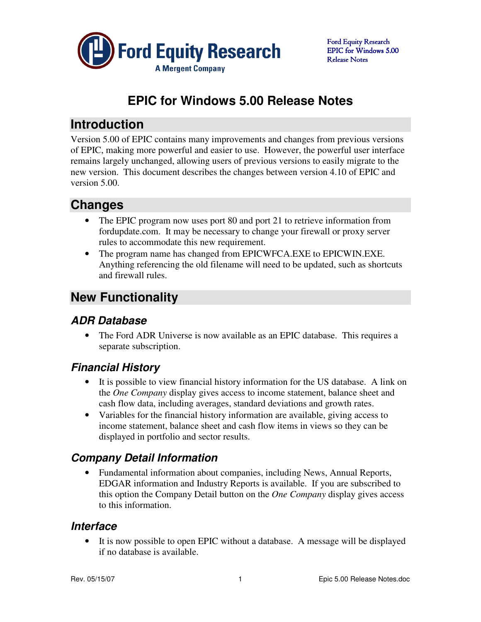

# **EPIC for Windows 5.00 Release Notes**

## **Introduction**

Version 5.00 of EPIC contains many improvements and changes from previous versions of EPIC, making more powerful and easier to use. However, the powerful user interface remains largely unchanged, allowing users of previous versions to easily migrate to the new version. This document describes the changes between version 4.10 of EPIC and version 5.00.

# **Changes**

- The EPIC program now uses port 80 and port 21 to retrieve information from fordupdate.com. It may be necessary to change your firewall or proxy server rules to accommodate this new requirement.
- The program name has changed from EPICWFCA.EXE to EPICWIN.EXE. Anything referencing the old filename will need to be updated, such as shortcuts and firewall rules.

# **New Functionality**

## **ADR Database**

• The Ford ADR Universe is now available as an EPIC database. This requires a separate subscription.

# **Financial History**

- It is possible to view financial history information for the US database. A link on the *One Company* display gives access to income statement, balance sheet and cash flow data, including averages, standard deviations and growth rates.
- Variables for the financial history information are available, giving access to income statement, balance sheet and cash flow items in views so they can be displayed in portfolio and sector results.

# **Company Detail Information**

• Fundamental information about companies, including News, Annual Reports, EDGAR information and Industry Reports is available. If you are subscribed to this option the Company Detail button on the *One Company* display gives access to this information.

### **Interface**

• It is now possible to open EPIC without a database. A message will be displayed if no database is available.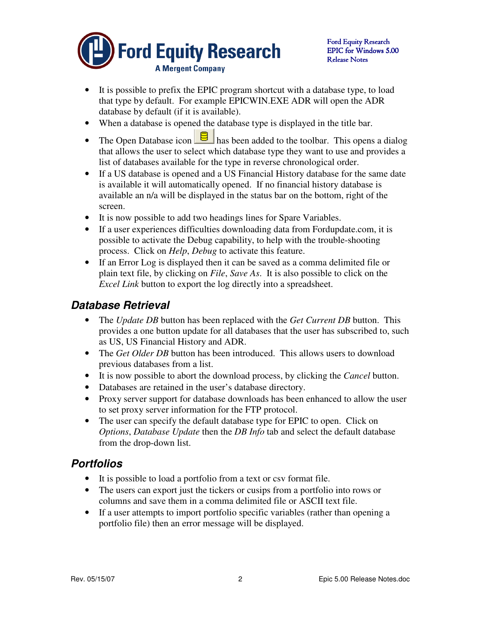

- It is possible to prefix the EPIC program shortcut with a database type, to load that type by default. For example EPICWIN.EXE ADR will open the ADR database by default (if it is available).
- When a database is opened the database type is displayed in the title bar.
- The Open Database icon  $\Box$  has been added to the toolbar. This opens a dialog that allows the user to select which database type they want to use and provides a list of databases available for the type in reverse chronological order.
- If a US database is opened and a US Financial History database for the same date is available it will automatically opened. If no financial history database is available an n/a will be displayed in the status bar on the bottom, right of the screen.
- It is now possible to add two headings lines for Spare Variables.
- If a user experiences difficulties downloading data from Fordupdate.com, it is possible to activate the Debug capability, to help with the trouble-shooting process. Click on *Help*, *Debug* to activate this feature.
- If an Error Log is displayed then it can be saved as a comma delimited file or plain text file, by clicking on *File*, *Save As*. It is also possible to click on the *Excel Link* button to export the log directly into a spreadsheet.

### **Database Retrieval**

- The *Update DB* button has been replaced with the *Get Current DB* button. This provides a one button update for all databases that the user has subscribed to, such as US, US Financial History and ADR.
- The *Get Older DB* button has been introduced. This allows users to download previous databases from a list.
- It is now possible to abort the download process, by clicking the *Cancel* button.
- Databases are retained in the user's database directory.
- Proxy server support for database downloads has been enhanced to allow the user to set proxy server information for the FTP protocol.
- The user can specify the default database type for EPIC to open. Click on *Options*, *Database Update* then the *DB Info* tab and select the default database from the drop-down list.

#### **Portfolios**

- It is possible to load a portfolio from a text or csv format file.
- The users can export just the tickers or cusips from a portfolio into rows or columns and save them in a comma delimited file or ASCII text file.
- If a user attempts to import portfolio specific variables (rather than opening a portfolio file) then an error message will be displayed.